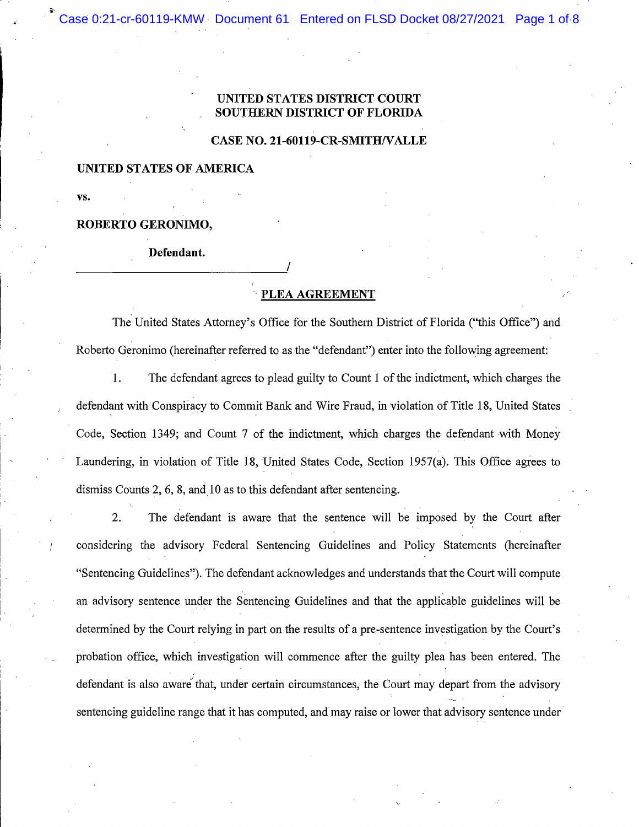Document 61 Entered on FLSD Docket 08/27/2021 Page 1 of 8 Case 0:21-cr-60119-KMW

### ITED STATES DISTRIC **SOUTHERN DISTRICT OF FLORIDA**

#### **CASE NO. 21-60119-CR-SMITH/VALLE**

## UNITED STATES OF AMERICA

VS.

#### ROBERTO GERONIMO,

#### Defendant.

# PLEA AGREEMENT

The United States Attorney's Office for the Southern District of Florida ("this Office") and Roberto Geronimo (hereinafter referred to as the "defendant") enter into the following agreement:

1. The defendant agrees to plead guilty to Count 1 of the indictment, which charges the defendant with Conspiracy to Commit Bank and Wire Fraud, in violation of Title 18, United States Code, Section 1349; and Count 7 of the indictment, which charges the defendant with Money Laundering, in violation of Title 18, United States Code, Section 1957(a). This Office agrees to dismiss Counts 2, 6, 8, and 10 as to this defendant after sentencing.

 $2.$ The defendant is aware that the sentence will be imposed by the Court after considering the advisory Federal Sentencing Guidelines and Policy Statements (hereinafter "Sentencing Guidelines"). The defendant acknowledges and understands that the Court will compute an advisory sentence under the Sentencing Guidelines and that the applicable guidelines will be determined by the Court relying in part on the results of a pre-sentence investigation by the Court's probation office, which investigation will commence after the guilty plea has been entered. The defendant is also aware that, under certain circumstances, the Court may depart from the advisory sentencing guideline range that it has computed, and may raise or lower that advisory sentence under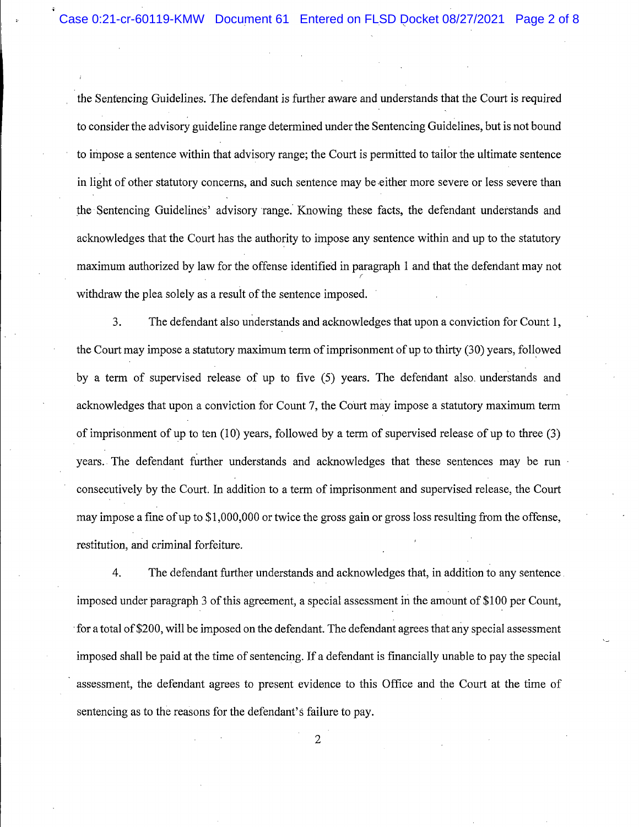the Sentencing Guidelines. The defendant is further aware and understands that the Court is required to consider the advisory guideline range determined under the Sentencing Guidelines, but is not bound to impose a sentence within that advisory range; the Court is permitted to tailor the ultimate sentence in light of other statutory concerns, and such sentence may be either more severe or less severe than the Sentencing Guidelines' advisory range. Knowing these facts, the defendant understands and acknowledges that the Court has the authority to impose any sentence within and up to the statutory maximum authorized by law for the offense identified in paragraph 1 and that the defendant may not withdraw the plea solely as a result of the sentence imposed.

 $3.$ The defendant also understands and acknowledges that upon a conviction for Count 1, the Court may impose a statutory maximum term of imprisonment of up to thirty (30) years, followed by a term of supervised release of up to five (5) years. The defendant also understands and acknowledges that upon a conviction for Count 7, the Court may impose a statutory maximum term of imprisonment of up to ten  $(10)$  years, followed by a term of supervised release of up to three  $(3)$ years. The defendant further understands and acknowledges that these sentences may be run consecutively by the Court. In addition to a term of imprisonment and supervised release, the Court may impose a fine of up to \$1,000,000 or twice the gross gain or gross loss resulting from the offense, restitution, and criminal forfeiture.

4. The defendant further understands and acknowledges that, in addition to any sentence. imposed under paragraph 3 of this agreement, a special assessment in the amount of \$100 per Count, for a total of \$200, will be imposed on the defendant. The defendant agrees that any special assessment imposed shall be paid at the time of sentencing. If a defendant is financially unable to pay the special assessment, the defendant agrees to present evidence to this Office and the Court at the time of sentencing as to the reasons for the defendant's failure to pay.

 $\overline{2}$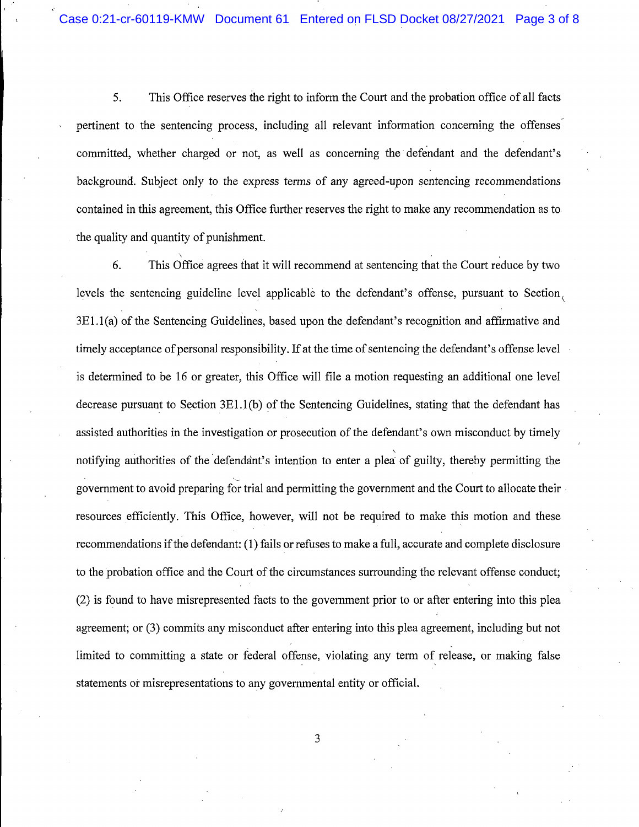5. This Office reserves the right to inform the Court and the probation office of all facts pertinent to the sentencing process, including all relevant information concerning the offenses committed, whether charged or not, as well as concerning the defendant and the defendant's background. Subject only to the express terms of any agreed-upon sentencing recommendations contained in this agreement, this Office further reserves the right to make any recommendation as to the quality and quantity of punishment.

6. This Office agrees that it will recommend at sentencing that the Court reduce by two levels the sentencing guideline level applicable to the defendant's offense, pursuant to Section, 3E1.1(a) of the Sentencing Guidelines, based upon the defendant's recognition and affirmative and timely acceptance of personal responsibility. If at the time of sentencing the defendant's offense level is determined to be 16 or greater, this Office will file a motion requesting an additional one level decrease pursuant to Section  $3E1.1(b)$  of the Sentencing Guidelines, stating that the defendant has assisted authorities in the investigation or prosecution of the defendant's own misconduct by timely notifying authorities of the defendant's intention to enter a plea of guilty, thereby permitting the government to avoid preparing for trial and permitting the government and the Court to allocate their resources efficiently. This Office, however, will not be required to make this motion and these recommendations if the defendant: (1) fails or refuses to make a full, accurate and complete disclosure to the probation office and the Court of the circumstances surrounding the relevant offense conduct; (2) is found to have misrepresented facts to the government prior to or after entering into this plea agreement; or (3) commits any misconduct after entering into this plea agreement, including but not limited to committing a state or federal offense, violating any term of release, or making false statements or misrepresentations to any governmental entity or official.

3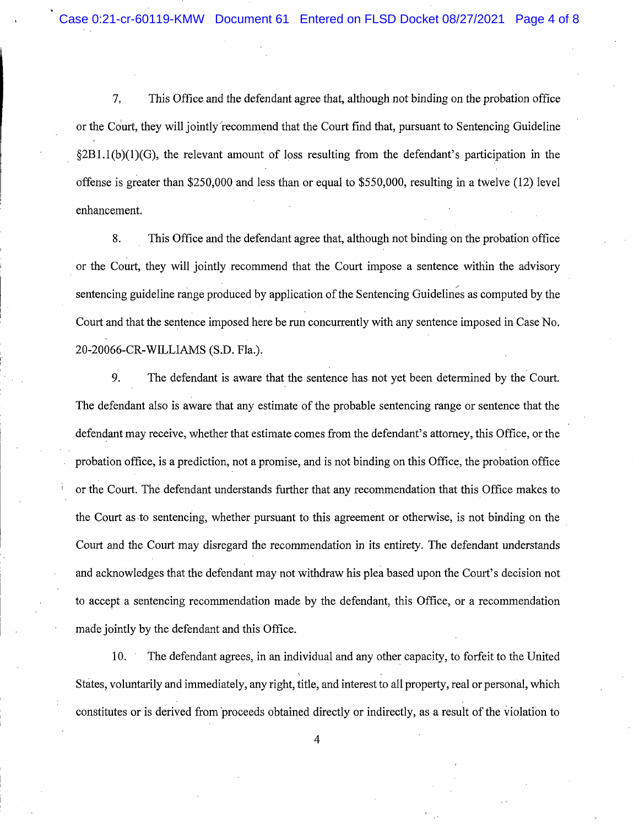7. This Office and the defendant agree that, although not binding on the probation office or the Court, they will jointly recommend that the Court find that, pursuant to Sentencing Guideline  $\S 2B1.1(b)(1)(G)$ , the relevant amount of loss resulting from the defendant's participation in the offense is greater than \$250,000 and less than or equal to \$550,000, resulting in a twelve  $(12)$  level enhancement.

8. This Office and the defendant agree that, although not binding on the probation office or the Court, they will jointly recommend that the Court impose a sentence within the advisory sentencing guideline range produced by application of the Sentencing Guidelines as computed by the Court and that the sentence imposed here be run concurrently with any sentence imposed in Case No. 20-20066-CR-WILLIAMS (S.D. Fla.).

9. The defendant is aware that the sentence has not yet been determined by the Court. The defendant also is aware that any estimate of the probable sentencing range or sentence that the defendant may receive, whether that estimate comes from the defendant's attorney, this Office, or the probation office, is a prediction, not a promise, and is not binding on this Office, the probation office or the Court. The defendant understands further that any recommendation that this Office makes to the Court as to sentencing, whether pursuant to this agreement or otherwise, is not binding on the Court and the Court may disregard the recommendation in its entirety. The defendant understands and acknowledges that the defendant may not withdraw his plea based upon the Court's decision not to accept a sentencing recommendation made by the defendant, this Office, or a recommendation made jointly by the defendant and this Office.

The defendant agrees, in an individual and any other capacity, to forfeit to the United 10. States, voluntarily and immediately, any right, title, and interest to all property, real or personal, which constitutes or is derived from proceeds obtained directly or indirectly, as a result of the violation to

 $\overline{4}$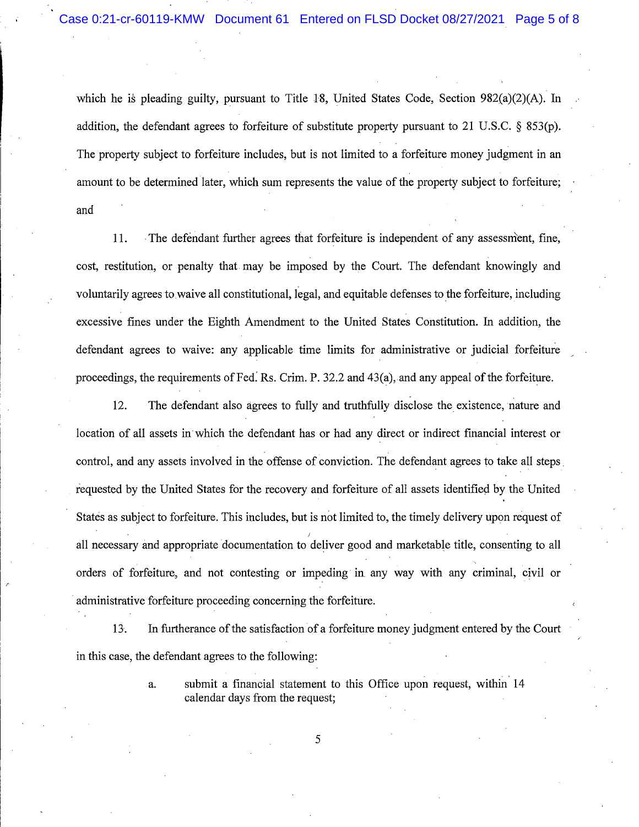which he is pleading guilty, pursuant to Title 18, United States Code, Section 982(a)(2)(A). In addition, the defendant agrees to forfeiture of substitute property pursuant to 21 U.S.C. § 853(p). The property subject to forfeiture includes, but is not limited to a forfeiture money judgment in an amount to be determined later, which sum represents the value of the property subject to forfeiture; and

 $11.$ The defendant further agrees that forfeiture is independent of any assessment, fine, cost, restitution, or penalty that may be imposed by the Court. The defendant knowingly and voluntarily agrees to waive all constitutional, legal, and equitable defenses to the forfeiture, including excessive fines under the Eighth Amendment to the United States Constitution. In addition, the defendant agrees to waive: any applicable time limits for administrative or judicial forfeiture proceedings, the requirements of Fed. Rs. Crim. P. 32.2 and 43(a), and any appeal of the forfeiture.

12. The defendant also agrees to fully and truthfully disclose the existence, nature and location of all assets in which the defendant has or had any direct or indirect financial interest or control, and any assets involved in the offense of conviction. The defendant agrees to take all steps requested by the United States for the recovery and forfeiture of all assets identified by the United States as subject to forfeiture. This includes, but is not limited to, the timely delivery upon request of all necessary and appropriate documentation to deliver good and marketable title, consenting to all orders of forfeiture, and not contesting or impeding in any way with any criminal, civil or administrative forfeiture proceeding concerning the forfeiture.

13. In furtherance of the satisfaction of a forfeiture money judgment entered by the Court in this case, the defendant agrees to the following:

5

submit a financial statement to this Office upon request, within 14 a. calendar days from the request;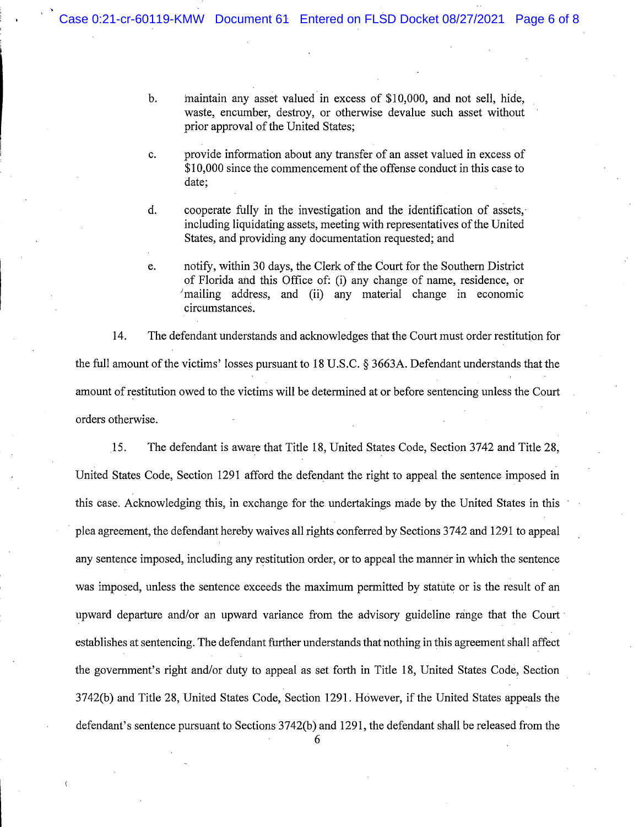maintain any asset valued in excess of \$10,000, and not sell, hide,  $\mathbf b$ . waste, encumber, destroy, or otherwise devalue such asset without prior approval of the United States;

provide information about any transfer of an asset valued in excess of c. \$10,000 since the commencement of the offense conduct in this case to date;

 $\overline{d}$ . cooperate fully in the investigation and the identification of assets, including liquidating assets, meeting with representatives of the United States, and providing any documentation requested; and

notify, within 30 days, the Clerk of the Court for the Southern District e. of Florida and this Office of: (i) any change of name, residence, or  $\mu$  mailing address, and (ii) any material change in economic circumstances.

14. The defendant understands and acknowledges that the Court must order restitution for the full amount of the victims' losses pursuant to 18 U.S.C. § 3663A. Defendant understands that the amount of restitution owed to the victims will be determined at or before sentencing unless the Court orders otherwise.

15. The defendant is aware that Title 18, United States Code, Section 3742 and Title 28, United States Code, Section 1291 afford the defendant the right to appeal the sentence imposed in this case. Acknowledging this, in exchange for the undertakings made by the United States in this plea agreement, the defendant hereby waives all rights conferred by Sections 3742 and 1291 to appeal any sentence imposed, including any restitution order, or to appeal the manner in which the sentence was imposed, unless the sentence exceeds the maximum permitted by statute or is the result of an upward departure and/or an upward variance from the advisory guideline range that the Court establishes at sentencing. The defendant further understands that nothing in this agreement shall affect the government's right and/or duty to appeal as set forth in Title 18, United States Code, Section 3742(b) and Title 28, United States Code, Section 1291. However, if the United States appeals the defendant's sentence pursuant to Sections 3742(b) and 1291, the defendant shall be released from the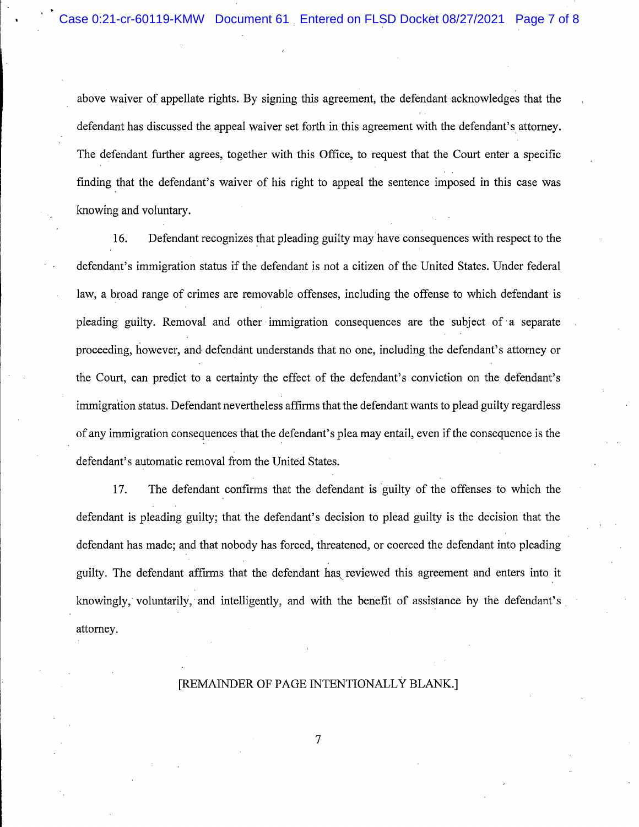above waiver of appellate rights. By signing this agreement, the defendant acknowledges that the defendant has discussed the appeal waiver set forth in this agreement with the defendant's attorney. The defendant further agrees, together with this Office, to request that the Court enter a specific finding that the defendant's waiver of his right to appeal the sentence imposed in this case was knowing and voluntary.

Defendant recognizes that pleading guilty may have consequences with respect to the 16. defendant's immigration status if the defendant is not a citizen of the United States. Under federal law, a broad range of crimes are removable offenses, including the offense to which defendant is pleading guilty. Removal and other immigration consequences are the subject of a separate proceeding, however, and defendant understands that no one, including the defendant's attorney or the Court, can predict to a certainty the effect of the defendant's conviction on the defendant's immigration status. Defendant nevertheless affirms that the defendant wants to plead guilty regardless of any immigration consequences that the defendant's plea may entail, even if the consequence is the defendant's automatic removal from the United States.

The defendant confirms that the defendant is guilty of the offenses to which the 17. defendant is pleading guilty; that the defendant's decision to plead guilty is the decision that the defendant has made; and that nobody has forced, threatened, or coerced the defendant into pleading guilty. The defendant affirms that the defendant has reviewed this agreement and enters into it knowingly, voluntarily, and intelligently, and with the benefit of assistance by the defendant's attorney.

#### [REMAINDER OF PAGE INTENTIONALLY BLANK.]

 $\overline{7}$